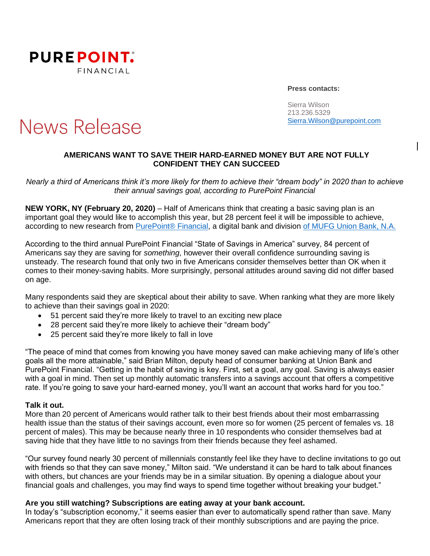

**Press contacts:**

Sierra Wilson 213.236.5329 [Sierra.Wilson@purepoint.com](mailto:Sierra.Wilson@purepoint.com)

# **News Release**

## **AMERICANS WANT TO SAVE THEIR HARD-EARNED MONEY BUT ARE NOT FULLY CONFIDENT THEY CAN SUCCEED**

*Nearly a third of Americans think it's more likely for them to achieve their "dream body" in 2020 than to achieve their annual savings goal, according to PurePoint Financial*

**NEW YORK, NY (February 20, 2020)** – Half of Americans think that creating a basic saving plan is an important goal they would like to accomplish this year, but 28 percent feel it will be impossible to achieve, according to new research from [PurePoint® Financial,](https://www.purepoint.com/) a digital bank and division [of MUFG Union Bank, N.A.](https://www.unionbank.com/)

According to the third annual PurePoint Financial "State of Savings in America" survey, 84 percent of Americans say they are saving for *something*, however their overall confidence surrounding saving is unsteady. The research found that only two in five Americans consider themselves better than OK when it comes to their money-saving habits. More surprisingly, personal attitudes around saving did not differ based on age.

Many respondents said they are skeptical about their ability to save. When ranking what they are more likely to achieve than their savings goal in 2020:

- 51 percent said they're more likely to travel to an exciting new place
- 28 percent said they're more likely to achieve their "dream body"
- 25 percent said they're more likely to fall in love

"The peace of mind that comes from knowing you have money saved can make achieving many of life's other goals all the more attainable," said Brian Milton, deputy head of consumer banking at Union Bank and PurePoint Financial. "Getting in the habit of saving is key. First, set a goal, any goal. Saving is always easier with a goal in mind. Then set up monthly automatic transfers into a savings account that offers a competitive rate. If you're going to save your hard-earned money, you'll want an account that works hard for you too."

## **Talk it out.**

More than 20 percent of Americans would rather talk to their best friends about their most embarrassing health issue than the status of their savings account, even more so for women (25 percent of females vs. 18 percent of males). This may be because nearly three in 10 respondents who consider themselves bad at saving hide that they have little to no savings from their friends because they feel ashamed.

"Our survey found nearly 30 percent of millennials constantly feel like they have to decline invitations to go out with friends so that they can save money," Milton said. "We understand it can be hard to talk about finances with others, but chances are your friends may be in a similar situation. By opening a dialogue about your financial goals and challenges, you may find ways to spend time together without breaking your budget."

#### **Are you still watching? Subscriptions are eating away at your bank account.**

In today's "subscription economy," it seems easier than ever to automatically spend rather than save. Many Americans report that they are often losing track of their monthly subscriptions and are paying the price.